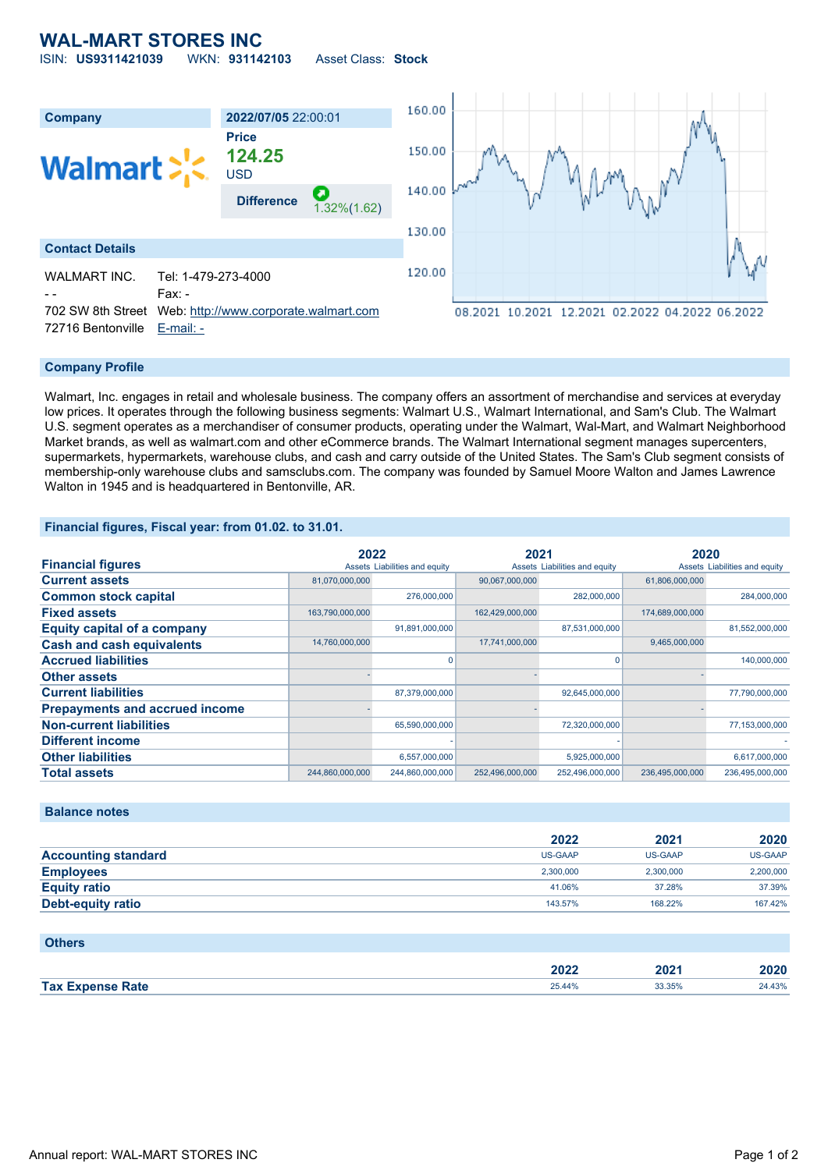## **WAL-MART STORES INC** ISIN: **US9311421039** WKN: **931142103** Asset Class: **Stock**



## **Company Profile**

Walmart, Inc. engages in retail and wholesale business. The company offers an assortment of merchandise and services at everyday low prices. It operates through the following business segments: Walmart U.S., Walmart International, and Sam's Club. The Walmart U.S. segment operates as a merchandiser of consumer products, operating under the Walmart, Wal-Mart, and Walmart Neighborhood Market brands, as well as walmart.com and other eCommerce brands. The Walmart International segment manages supercenters, supermarkets, hypermarkets, warehouse clubs, and cash and carry outside of the United States. The Sam's Club segment consists of membership-only warehouse clubs and samsclubs.com. The company was founded by Samuel Moore Walton and James Lawrence Walton in 1945 and is headquartered in Bentonville, AR.

## **Financial figures, Fiscal year: from 01.02. to 31.01.**

|                                       | 2022            |                               | 2021            |                               | 2020            |                               |
|---------------------------------------|-----------------|-------------------------------|-----------------|-------------------------------|-----------------|-------------------------------|
| <b>Financial figures</b>              |                 | Assets Liabilities and equity |                 | Assets Liabilities and equity |                 | Assets Liabilities and equity |
| <b>Current assets</b>                 | 81,070,000,000  |                               | 90,067,000,000  |                               | 61,806,000,000  |                               |
| <b>Common stock capital</b>           |                 | 276,000,000                   |                 | 282,000,000                   |                 | 284,000,000                   |
| <b>Fixed assets</b>                   | 163,790,000,000 |                               | 162,429,000,000 |                               | 174,689,000,000 |                               |
| <b>Equity capital of a company</b>    |                 | 91,891,000,000                |                 | 87,531,000,000                |                 | 81,552,000,000                |
| <b>Cash and cash equivalents</b>      | 14,760,000,000  |                               | 17,741,000,000  |                               | 9,465,000,000   |                               |
| <b>Accrued liabilities</b>            |                 | 0                             |                 |                               |                 | 140,000,000                   |
| <b>Other assets</b>                   |                 |                               |                 |                               |                 |                               |
| <b>Current liabilities</b>            |                 | 87,379,000,000                |                 | 92,645,000,000                |                 | 77,790,000,000                |
| <b>Prepayments and accrued income</b> |                 |                               |                 |                               |                 |                               |
| <b>Non-current liabilities</b>        |                 | 65,590,000,000                |                 | 72,320,000,000                |                 | 77,153,000,000                |
| <b>Different income</b>               |                 |                               |                 |                               |                 |                               |
| <b>Other liabilities</b>              |                 | 6,557,000,000                 |                 | 5,925,000,000                 |                 | 6,617,000,000                 |
| <b>Total assets</b>                   | 244,860,000,000 | 244,860,000,000               | 252,496,000,000 | 252,496,000,000               | 236,495,000,000 | 236,495,000,000               |

### **Balance notes**

|                            | 2022           | 2021      | 2020           |
|----------------------------|----------------|-----------|----------------|
| <b>Accounting standard</b> | <b>US-GAAP</b> | US-GAAP   | <b>US-GAAP</b> |
| <b>Employees</b>           | 2.300.000      | 2.300.000 | 2,200,000      |
| <b>Equity ratio</b>        | 41.06%         | 37.28%    | 37.39%         |
| <b>Debt-equity ratio</b>   | 143.57%        | 168.22%   | 167.42%        |

| <b>Others</b>           |        |        |        |
|-------------------------|--------|--------|--------|
|                         | 2022   | 2021   | 2020   |
| <b>Tax Expense Rate</b> | 25.44% | 33.35% | 24.43% |